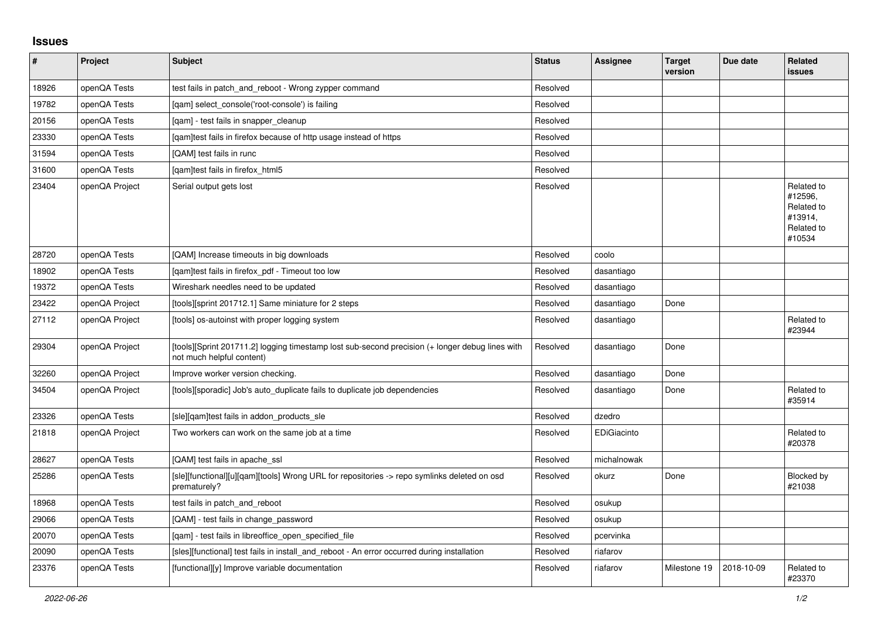## **Issues**

| $\vert$ # | Project        | <b>Subject</b>                                                                                                               | <b>Status</b> | <b>Assignee</b> | <b>Target</b><br>version | Due date   | <b>Related</b><br><b>issues</b>                                        |
|-----------|----------------|------------------------------------------------------------------------------------------------------------------------------|---------------|-----------------|--------------------------|------------|------------------------------------------------------------------------|
| 18926     | openQA Tests   | test fails in patch_and_reboot - Wrong zypper command                                                                        | Resolved      |                 |                          |            |                                                                        |
| 19782     | openQA Tests   | [gam] select console('root-console') is failing                                                                              | Resolved      |                 |                          |            |                                                                        |
| 20156     | openQA Tests   | [qam] - test fails in snapper_cleanup                                                                                        | Resolved      |                 |                          |            |                                                                        |
| 23330     | openQA Tests   | [gam]test fails in firefox because of http usage instead of https                                                            | Resolved      |                 |                          |            |                                                                        |
| 31594     | openQA Tests   | [QAM] test fails in runc                                                                                                     | Resolved      |                 |                          |            |                                                                        |
| 31600     | openQA Tests   | [gam]test fails in firefox html5                                                                                             | Resolved      |                 |                          |            |                                                                        |
| 23404     | openQA Project | Serial output gets lost                                                                                                      | Resolved      |                 |                          |            | Related to<br>#12596.<br>Related to<br>#13914,<br>Related to<br>#10534 |
| 28720     | openQA Tests   | [QAM] Increase timeouts in big downloads                                                                                     | Resolved      | coolo           |                          |            |                                                                        |
| 18902     | openQA Tests   | [qam]test fails in firefox_pdf - Timeout too low                                                                             | Resolved      | dasantiago      |                          |            |                                                                        |
| 19372     | openQA Tests   | Wireshark needles need to be updated                                                                                         | Resolved      | dasantiago      |                          |            |                                                                        |
| 23422     | openQA Project | [tools][sprint 201712.1] Same miniature for 2 steps                                                                          | Resolved      | dasantiago      | Done                     |            |                                                                        |
| 27112     | openQA Project | [tools] os-autoinst with proper logging system                                                                               | Resolved      | dasantiago      |                          |            | Related to<br>#23944                                                   |
| 29304     | openQA Project | [tools][Sprint 201711.2] logging timestamp lost sub-second precision (+ longer debug lines with<br>not much helpful content) | Resolved      | dasantiago      | Done                     |            |                                                                        |
| 32260     | openQA Project | Improve worker version checking.                                                                                             | Resolved      | dasantiago      | Done                     |            |                                                                        |
| 34504     | openQA Project | [tools][sporadic] Job's auto duplicate fails to duplicate job dependencies                                                   | Resolved      | dasantiago      | Done                     |            | Related to<br>#35914                                                   |
| 23326     | openQA Tests   | [sle][gam]test fails in addon products sle                                                                                   | Resolved      | dzedro          |                          |            |                                                                        |
| 21818     | openQA Project | Two workers can work on the same job at a time                                                                               | Resolved      | EDiGiacinto     |                          |            | Related to<br>#20378                                                   |
| 28627     | openQA Tests   | [QAM] test fails in apache_ssl                                                                                               | Resolved      | michalnowak     |                          |            |                                                                        |
| 25286     | openQA Tests   | [sle][functional][u][gam][tools] Wrong URL for repositories -> repo symlinks deleted on osd<br>prematurely?                  | Resolved      | okurz           | Done                     |            | Blocked by<br>#21038                                                   |
| 18968     | openQA Tests   | test fails in patch and reboot                                                                                               | Resolved      | osukup          |                          |            |                                                                        |
| 29066     | openQA Tests   | [QAM] - test fails in change password                                                                                        | Resolved      | osukup          |                          |            |                                                                        |
| 20070     | openQA Tests   | [gam] - test fails in libreoffice open specified file                                                                        | Resolved      | pcervinka       |                          |            |                                                                        |
| 20090     | openQA Tests   | [sles][functional] test fails in install and reboot - An error occurred during installation                                  | Resolved      | riafarov        |                          |            |                                                                        |
| 23376     | openQA Tests   | [functional][y] Improve variable documentation                                                                               | Resolved      | riafarov        | Milestone 19             | 2018-10-09 | Related to<br>#23370                                                   |